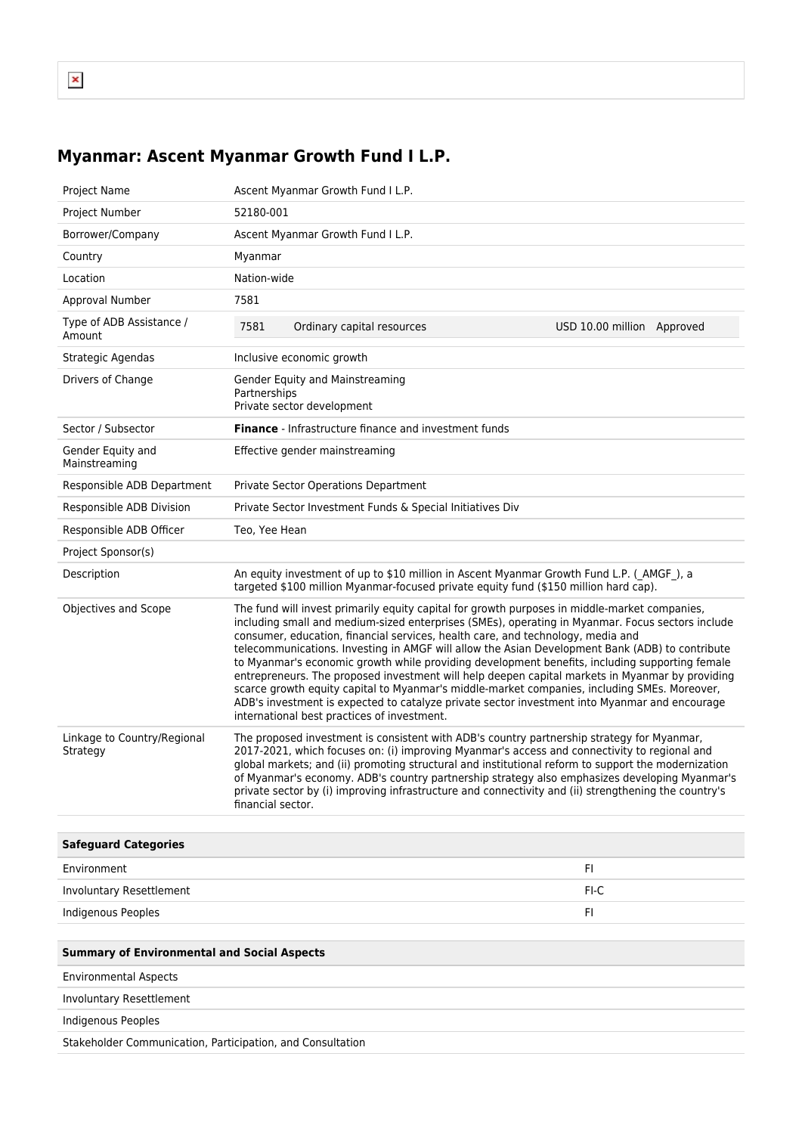## **Myanmar: Ascent Myanmar Growth Fund I L.P.**

| Project Name                                               | Ascent Myanmar Growth Fund I L.P.                                                                                                                                                                                                                                                                                                                                                                                                                                                                                                                                                                                                                                                                                                                                                                                                            |                            |
|------------------------------------------------------------|----------------------------------------------------------------------------------------------------------------------------------------------------------------------------------------------------------------------------------------------------------------------------------------------------------------------------------------------------------------------------------------------------------------------------------------------------------------------------------------------------------------------------------------------------------------------------------------------------------------------------------------------------------------------------------------------------------------------------------------------------------------------------------------------------------------------------------------------|----------------------------|
| Project Number                                             | 52180-001                                                                                                                                                                                                                                                                                                                                                                                                                                                                                                                                                                                                                                                                                                                                                                                                                                    |                            |
| Borrower/Company                                           | Ascent Myanmar Growth Fund I L.P.                                                                                                                                                                                                                                                                                                                                                                                                                                                                                                                                                                                                                                                                                                                                                                                                            |                            |
| Country                                                    | Myanmar                                                                                                                                                                                                                                                                                                                                                                                                                                                                                                                                                                                                                                                                                                                                                                                                                                      |                            |
| Location                                                   | Nation-wide                                                                                                                                                                                                                                                                                                                                                                                                                                                                                                                                                                                                                                                                                                                                                                                                                                  |                            |
| Approval Number                                            | 7581                                                                                                                                                                                                                                                                                                                                                                                                                                                                                                                                                                                                                                                                                                                                                                                                                                         |                            |
| Type of ADB Assistance /<br>Amount                         | 7581<br>Ordinary capital resources                                                                                                                                                                                                                                                                                                                                                                                                                                                                                                                                                                                                                                                                                                                                                                                                           | USD 10.00 million Approved |
| Strategic Agendas                                          | Inclusive economic growth                                                                                                                                                                                                                                                                                                                                                                                                                                                                                                                                                                                                                                                                                                                                                                                                                    |                            |
| Drivers of Change                                          | Gender Equity and Mainstreaming<br>Partnerships<br>Private sector development                                                                                                                                                                                                                                                                                                                                                                                                                                                                                                                                                                                                                                                                                                                                                                |                            |
| Sector / Subsector                                         | <b>Finance</b> - Infrastructure finance and investment funds                                                                                                                                                                                                                                                                                                                                                                                                                                                                                                                                                                                                                                                                                                                                                                                 |                            |
| Gender Equity and<br>Mainstreaming                         | Effective gender mainstreaming                                                                                                                                                                                                                                                                                                                                                                                                                                                                                                                                                                                                                                                                                                                                                                                                               |                            |
| Responsible ADB Department                                 | Private Sector Operations Department                                                                                                                                                                                                                                                                                                                                                                                                                                                                                                                                                                                                                                                                                                                                                                                                         |                            |
| Responsible ADB Division                                   | Private Sector Investment Funds & Special Initiatives Div                                                                                                                                                                                                                                                                                                                                                                                                                                                                                                                                                                                                                                                                                                                                                                                    |                            |
| Responsible ADB Officer                                    | Teo, Yee Hean                                                                                                                                                                                                                                                                                                                                                                                                                                                                                                                                                                                                                                                                                                                                                                                                                                |                            |
| Project Sponsor(s)                                         |                                                                                                                                                                                                                                                                                                                                                                                                                                                                                                                                                                                                                                                                                                                                                                                                                                              |                            |
| Description                                                | An equity investment of up to \$10 million in Ascent Myanmar Growth Fund L.P. (AMGF), a<br>targeted \$100 million Myanmar-focused private equity fund (\$150 million hard cap).                                                                                                                                                                                                                                                                                                                                                                                                                                                                                                                                                                                                                                                              |                            |
| Objectives and Scope                                       | The fund will invest primarily equity capital for growth purposes in middle-market companies,<br>including small and medium-sized enterprises (SMEs), operating in Myanmar. Focus sectors include<br>consumer, education, financial services, health care, and technology, media and<br>telecommunications. Investing in AMGF will allow the Asian Development Bank (ADB) to contribute<br>to Myanmar's economic growth while providing development benefits, including supporting female<br>entrepreneurs. The proposed investment will help deepen capital markets in Myanmar by providing<br>scarce growth equity capital to Myanmar's middle-market companies, including SMEs. Moreover,<br>ADB's investment is expected to catalyze private sector investment into Myanmar and encourage<br>international best practices of investment. |                            |
| Linkage to Country/Regional<br>Strategy                    | The proposed investment is consistent with ADB's country partnership strategy for Myanmar,<br>2017-2021, which focuses on: (i) improving Myanmar's access and connectivity to regional and<br>global markets; and (ii) promoting structural and institutional reform to support the modernization<br>of Myanmar's economy. ADB's country partnership strategy also emphasizes developing Myanmar's<br>private sector by (i) improving infrastructure and connectivity and (ii) strengthening the country's<br>financial sector.                                                                                                                                                                                                                                                                                                              |                            |
| <b>Safeguard Categories</b>                                |                                                                                                                                                                                                                                                                                                                                                                                                                                                                                                                                                                                                                                                                                                                                                                                                                                              |                            |
| Environment                                                |                                                                                                                                                                                                                                                                                                                                                                                                                                                                                                                                                                                                                                                                                                                                                                                                                                              | FI.                        |
| Involuntary Resettlement                                   |                                                                                                                                                                                                                                                                                                                                                                                                                                                                                                                                                                                                                                                                                                                                                                                                                                              | $FI-C$                     |
| <b>Indigenous Peoples</b>                                  |                                                                                                                                                                                                                                                                                                                                                                                                                                                                                                                                                                                                                                                                                                                                                                                                                                              | FI                         |
|                                                            |                                                                                                                                                                                                                                                                                                                                                                                                                                                                                                                                                                                                                                                                                                                                                                                                                                              |                            |
| <b>Summary of Environmental and Social Aspects</b>         |                                                                                                                                                                                                                                                                                                                                                                                                                                                                                                                                                                                                                                                                                                                                                                                                                                              |                            |
| <b>Environmental Aspects</b>                               |                                                                                                                                                                                                                                                                                                                                                                                                                                                                                                                                                                                                                                                                                                                                                                                                                                              |                            |
| Involuntary Resettlement                                   |                                                                                                                                                                                                                                                                                                                                                                                                                                                                                                                                                                                                                                                                                                                                                                                                                                              |                            |
| Indigenous Peoples                                         |                                                                                                                                                                                                                                                                                                                                                                                                                                                                                                                                                                                                                                                                                                                                                                                                                                              |                            |
| Stakeholder Communication, Participation, and Consultation |                                                                                                                                                                                                                                                                                                                                                                                                                                                                                                                                                                                                                                                                                                                                                                                                                                              |                            |